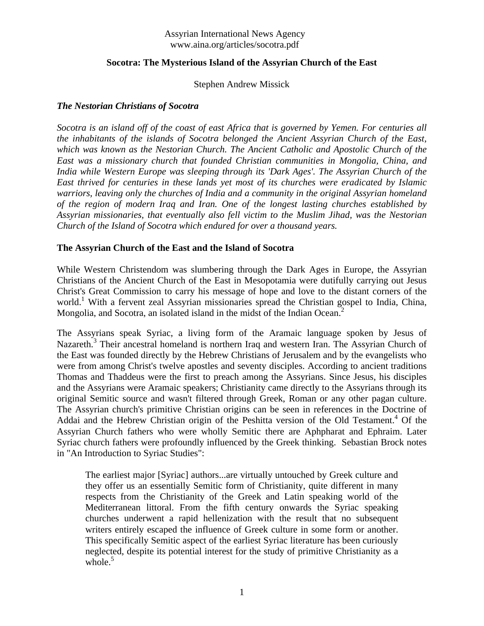# **Socotra: The Mysterious Island of the Assyrian Church of the East**

## Stephen Andrew Missick

# *The Nestorian Christians of Socotra*

*Socotra is an island off of the coast of east Africa that is governed by Yemen. For centuries all the inhabitants of the islands of Socotra belonged the Ancient Assyrian Church of the East, which was known as the Nestorian Church. The Ancient Catholic and Apostolic Church of the East was a missionary church that founded Christian communities in Mongolia, China, and India while Western Europe was sleeping through its 'Dark Ages'. The Assyrian Church of the East thrived for centuries in these lands yet most of its churches were eradicated by Islamic warriors, leaving only the churches of India and a community in the original Assyrian homeland of the region of modern Iraq and Iran. One of the longest lasting churches established by Assyrian missionaries, that eventually also fell victim to the Muslim Jihad, was the Nestorian Church of the Island of Socotra which endured for over a thousand years.*

## **The Assyrian Church of the East and the Island of Socotra**

While Western Christendom was slumbering through the Dark Ages in Europe, the Assyrian Christians of the Ancient Church of the East in Mesopotamia were dutifully carrying out Jesus Christ's Great Commission to carry his message of hope and love to the distant corners of the world.<sup>1</sup> With a fervent zeal Assyrian missionaries spread the Christian gospel to India, China, Mongolia, and Socotra, an isolated island in the midst of the Indian Ocean.<sup>2</sup>

The Assyrians speak Syriac, a living form of the Aramaic language spoken by Jesus of Nazareth.<sup>3</sup> Their ancestral homeland is northern Iraq and western Iran. The Assyrian Church of the East was founded directly by the Hebrew Christians of Jerusalem and by the evangelists who were from among Christ's twelve apostles and seventy disciples. According to ancient traditions Thomas and Thaddeus were the first to preach among the Assyrians. Since Jesus, his disciples and the Assyrians were Aramaic speakers; Christianity came directly to the Assyrians through its original Semitic source and wasn't filtered through Greek, Roman or any other pagan culture. The Assyrian church's primitive Christian origins can be seen in references in the Doctrine of Addai and the Hebrew Christian origin of the Peshitta version of the Old Testament.<sup>4</sup> Of the Assyrian Church fathers who were wholly Semitic there are Aphpharat and Ephraim. Later Syriac church fathers were profoundly influenced by the Greek thinking. Sebastian Brock notes in "An Introduction to Syriac Studies":

The earliest major [Syriac] authors...are virtually untouched by Greek culture and they offer us an essentially Semitic form of Christianity, quite different in many respects from the Christianity of the Greek and Latin speaking world of the Mediterranean littoral. From the fifth century onwards the Syriac speaking churches underwent a rapid hellenization with the result that no subsequent writers entirely escaped the influence of Greek culture in some form or another. This specifically Semitic aspect of the earliest Syriac literature has been curiously neglected, despite its potential interest for the study of primitive Christianity as a whole. $5$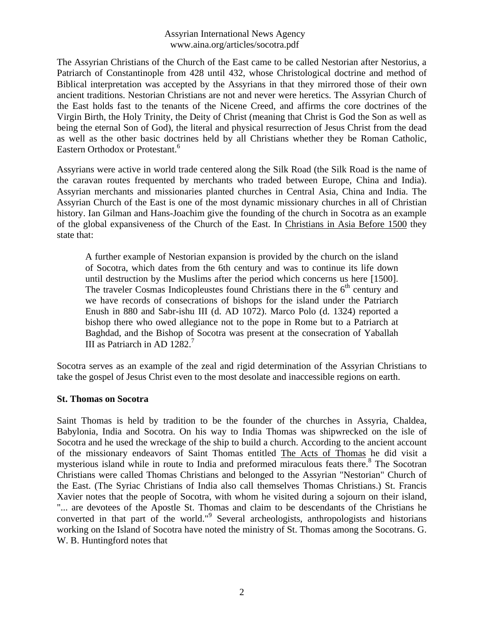The Assyrian Christians of the Church of the East came to be called Nestorian after Nestorius, a Patriarch of Constantinople from 428 until 432, whose Christological doctrine and method of Biblical interpretation was accepted by the Assyrians in that they mirrored those of their own ancient traditions. Nestorian Christians are not and never were heretics. The Assyrian Church of the East holds fast to the tenants of the Nicene Creed, and affirms the core doctrines of the Virgin Birth, the Holy Trinity, the Deity of Christ (meaning that Christ is God the Son as well as being the eternal Son of God), the literal and physical resurrection of Jesus Christ from the dead as well as the other basic doctrines held by all Christians whether they be Roman Catholic, Eastern Orthodox or Protestant.<sup>6</sup>

Assyrians were active in world trade centered along the Silk Road (the Silk Road is the name of the caravan routes frequented by merchants who traded between Europe, China and India). Assyrian merchants and missionaries planted churches in Central Asia, China and India. The Assyrian Church of the East is one of the most dynamic missionary churches in all of Christian history. Ian Gilman and Hans-Joachim give the founding of the church in Socotra as an example of the global expansiveness of the Church of the East. In Christians in Asia Before 1500 they state that:

A further example of Nestorian expansion is provided by the church on the island of Socotra, which dates from the 6th century and was to continue its life down until destruction by the Muslims after the period which concerns us here [1500]. The traveler Cosmas Indicopleustes found Christians there in the  $6<sup>th</sup>$  century and we have records of consecrations of bishops for the island under the Patriarch Enush in 880 and Sabr-ishu III (d. AD 1072). Marco Polo (d. 1324) reported a bishop there who owed allegiance not to the pope in Rome but to a Patriarch at Baghdad, and the Bishop of Socotra was present at the consecration of Yaballah III as Patriarch in AD  $1282.<sup>7</sup>$ 

Socotra serves as an example of the zeal and rigid determination of the Assyrian Christians to take the gospel of Jesus Christ even to the most desolate and inaccessible regions on earth.

#### **St. Thomas on Socotra**

Saint Thomas is held by tradition to be the founder of the churches in Assyria, Chaldea, Babylonia, India and Socotra. On his way to India Thomas was shipwrecked on the isle of Socotra and he used the wreckage of the ship to build a church. According to the ancient account of the missionary endeavors of Saint Thomas entitled The Acts of Thomas he did visit a mysterious island while in route to India and preformed miraculous feats there.<sup>8</sup> The Socotran Christians were called Thomas Christians and belonged to the Assyrian "Nestorian" Church of the East. (The Syriac Christians of India also call themselves Thomas Christians.) St. Francis Xavier notes that the people of Socotra, with whom he visited during a sojourn on their island, "... are devotees of the Apostle St. Thomas and claim to be descendants of the Christians he converted in that part of the world."<sup>9</sup> Several archeologists, anthropologists and historians working on the Island of Socotra have noted the ministry of St. Thomas among the Socotrans. G. W. B. Huntingford notes that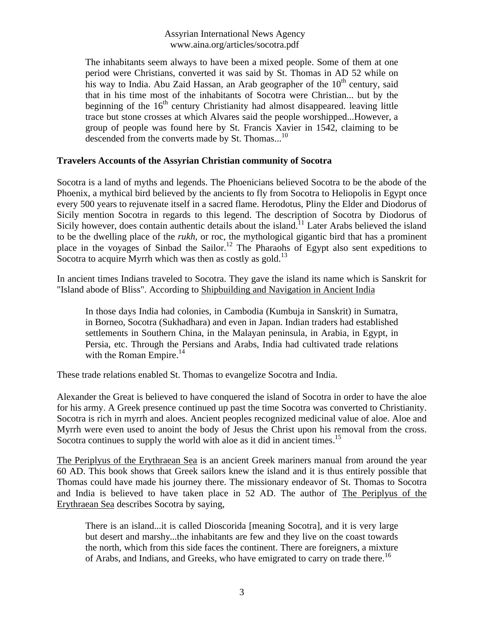The inhabitants seem always to have been a mixed people. Some of them at one period were Christians, converted it was said by St. Thomas in AD 52 while on his way to India. Abu Zaid Hassan, an Arab geographer of the  $10<sup>th</sup>$  century, said that in his time most of the inhabitants of Socotra were Christian... but by the beginning of the  $16<sup>th</sup>$  century Christianity had almost disappeared. leaving little trace but stone crosses at which Alvares said the people worshipped...However, a group of people was found here by St. Francis Xavier in 1542, claiming to be descended from the converts made by St. Thomas...<sup>10</sup>

## **Travelers Accounts of the Assyrian Christian community of Socotra**

Socotra is a land of myths and legends. The Phoenicians believed Socotra to be the abode of the Phoenix, a mythical bird believed by the ancients to fly from Socotra to Heliopolis in Egypt once every 500 years to rejuvenate itself in a sacred flame. Herodotus, Pliny the Elder and Diodorus of Sicily mention Socotra in regards to this legend. The description of Socotra by Diodorus of Sicily however, does contain authentic details about the island.<sup>11</sup> Later Arabs believed the island to be the dwelling place of the *rukh*, or roc, the mythological gigantic bird that has a prominent place in the voyages of Sinbad the Sailor.<sup>12</sup> The Pharaohs of Egypt also sent expeditions to Socotra to acquire Myrrh which was then as costly as gold.<sup>13</sup>

In ancient times Indians traveled to Socotra. They gave the island its name which is Sanskrit for "Island abode of Bliss". According to Shipbuilding and Navigation in Ancient India

In those days India had colonies, in Cambodia (Kumbuja in Sanskrit) in Sumatra, in Borneo, Socotra (Sukhadhara) and even in Japan. Indian traders had established settlements in Southern China, in the Malayan peninsula, in Arabia, in Egypt, in Persia, etc. Through the Persians and Arabs, India had cultivated trade relations with the Roman Empire. $^{14}$ 

These trade relations enabled St. Thomas to evangelize Socotra and India.

Alexander the Great is believed to have conquered the island of Socotra in order to have the aloe for his army. A Greek presence continued up past the time Socotra was converted to Christianity. Socotra is rich in myrrh and aloes. Ancient peoples recognized medicinal value of aloe. Aloe and Myrrh were even used to anoint the body of Jesus the Christ upon his removal from the cross. Socotra continues to supply the world with aloe as it did in ancient times.<sup>15</sup>

The Periplyus of the Erythraean Sea is an ancient Greek mariners manual from around the year 60 AD. This book shows that Greek sailors knew the island and it is thus entirely possible that Thomas could have made his journey there. The missionary endeavor of St. Thomas to Socotra and India is believed to have taken place in 52 AD. The author of The Periplyus of the Erythraean Sea describes Socotra by saying,

There is an island...it is called Dioscorida [meaning Socotra], and it is very large but desert and marshy...the inhabitants are few and they live on the coast towards the north, which from this side faces the continent. There are foreigners, a mixture of Arabs, and Indians, and Greeks, who have emigrated to carry on trade there.<sup>16</sup>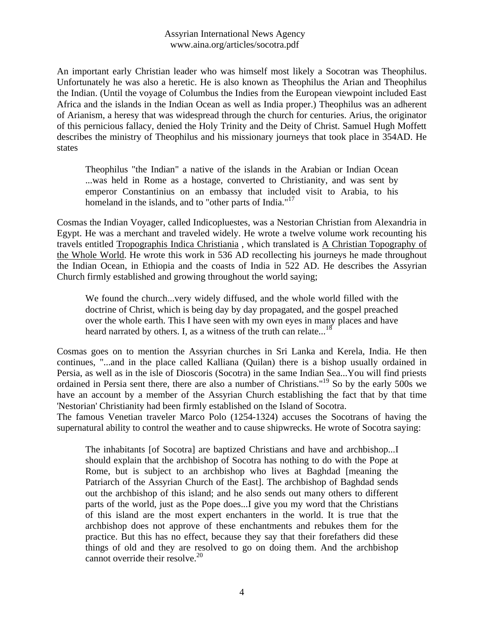An important early Christian leader who was himself most likely a Socotran was Theophilus. Unfortunately he was also a heretic. He is also known as Theophilus the Arian and Theophilus the Indian. (Until the voyage of Columbus the Indies from the European viewpoint included East Africa and the islands in the Indian Ocean as well as India proper.) Theophilus was an adherent of Arianism, a heresy that was widespread through the church for centuries. Arius, the originator of this pernicious fallacy, denied the Holy Trinity and the Deity of Christ. Samuel Hugh Moffett describes the ministry of Theophilus and his missionary journeys that took place in 354AD. He states

Theophilus "the Indian" a native of the islands in the Arabian or Indian Ocean ...was held in Rome as a hostage, converted to Christianity, and was sent by emperor Constantinius on an embassy that included visit to Arabia, to his homeland in the islands, and to "other parts of India."<sup>17</sup>

Cosmas the Indian Voyager, called Indicopluestes, was a Nestorian Christian from Alexandria in Egypt. He was a merchant and traveled widely. He wrote a twelve volume work recounting his travels entitled Tropographis Indica Christiania , which translated is A Christian Topography of the Whole World. He wrote this work in 536 AD recollecting his journeys he made throughout the Indian Ocean, in Ethiopia and the coasts of India in 522 AD. He describes the Assyrian Church firmly established and growing throughout the world saying;

We found the church...very widely diffused, and the whole world filled with the doctrine of Christ, which is being day by day propagated, and the gospel preached over the whole earth. This I have seen with my own eyes in many places and have heard narrated by others. I, as a witness of the truth can relate...<sup>18</sup>

Cosmas goes on to mention the Assyrian churches in Sri Lanka and Kerela, India. He then continues, "...and in the place called Kalliana (Quilan) there is a bishop usually ordained in Persia, as well as in the isle of Dioscoris (Socotra) in the same Indian Sea...You will find priests ordained in Persia sent there, there are also a number of Christians."<sup>19</sup> So by the early 500s we have an account by a member of the Assyrian Church establishing the fact that by that time 'Nestorian' Christianity had been firmly established on the Island of Socotra.

The famous Venetian traveler Marco Polo (1254-1324) accuses the Socotrans of having the supernatural ability to control the weather and to cause shipwrecks. He wrote of Socotra saying:

The inhabitants [of Socotra] are baptized Christians and have and archbishop...I should explain that the archbishop of Socotra has nothing to do with the Pope at Rome, but is subject to an archbishop who lives at Baghdad [meaning the Patriarch of the Assyrian Church of the East]. The archbishop of Baghdad sends out the archbishop of this island; and he also sends out many others to different parts of the world, just as the Pope does...I give you my word that the Christians of this island are the most expert enchanters in the world. It is true that the archbishop does not approve of these enchantments and rebukes them for the practice. But this has no effect, because they say that their forefathers did these things of old and they are resolved to go on doing them. And the archbishop cannot override their resolve. $20$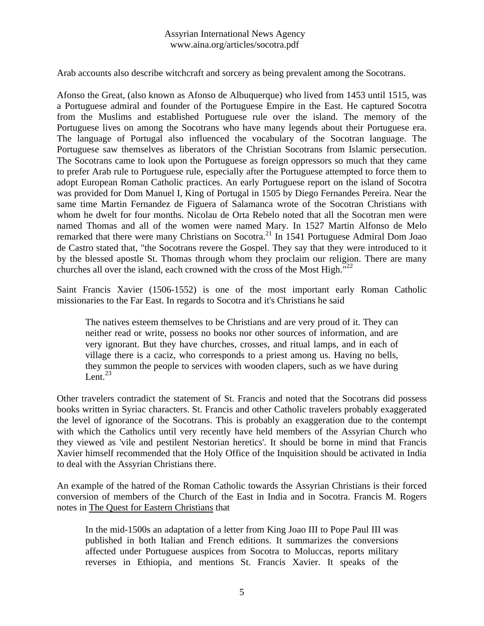Arab accounts also describe witchcraft and sorcery as being prevalent among the Socotrans.

Afonso the Great, (also known as Afonso de Albuquerque) who lived from 1453 until 1515, was a Portuguese admiral and founder of the Portuguese Empire in the East. He captured Socotra from the Muslims and established Portuguese rule over the island. The memory of the Portuguese lives on among the Socotrans who have many legends about their Portuguese era. The language of Portugal also influenced the vocabulary of the Socotran language. The Portuguese saw themselves as liberators of the Christian Socotrans from Islamic persecution. The Socotrans came to look upon the Portuguese as foreign oppressors so much that they came to prefer Arab rule to Portuguese rule, especially after the Portuguese attempted to force them to adopt European Roman Catholic practices. An early Portuguese report on the island of Socotra was provided for Dom Manuel I, King of Portugal in 1505 by Diego Fernandes Pereira. Near the same time Martin Fernandez de Figuera of Salamanca wrote of the Socotran Christians with whom he dwelt for four months. Nicolau de Orta Rebelo noted that all the Socotran men were named Thomas and all of the women were named Mary. In 1527 Martin Alfonso de Melo remarked that there were many Christians on Socotra.<sup>21</sup> In 1541 Portuguese Admiral Dom Joao de Castro stated that, "the Socotrans revere the Gospel. They say that they were introduced to it by the blessed apostle St. Thomas through whom they proclaim our religion. There are many churches all over the island, each crowned with the cross of the Most High."<sup>22</sup>

Saint Francis Xavier (1506-1552) is one of the most important early Roman Catholic missionaries to the Far East. In regards to Socotra and it's Christians he said

The natives esteem themselves to be Christians and are very proud of it. They can neither read or write, possess no books nor other sources of information, and are very ignorant. But they have churches, crosses, and ritual lamps, and in each of village there is a caciz, who corresponds to a priest among us. Having no bells, they summon the people to services with wooden clapers, such as we have during Lent. $^{23}$ 

Other travelers contradict the statement of St. Francis and noted that the Socotrans did possess books written in Syriac characters. St. Francis and other Catholic travelers probably exaggerated the level of ignorance of the Socotrans. This is probably an exaggeration due to the contempt with which the Catholics until very recently have held members of the Assyrian Church who they viewed as 'vile and pestilent Nestorian heretics'. It should be borne in mind that Francis Xavier himself recommended that the Holy Office of the Inquisition should be activated in India to deal with the Assyrian Christians there.

An example of the hatred of the Roman Catholic towards the Assyrian Christians is their forced conversion of members of the Church of the East in India and in Socotra. Francis M. Rogers notes in The Quest for Eastern Christians that

In the mid-1500s an adaptation of a letter from King Joao III to Pope Paul III was published in both Italian and French editions. It summarizes the conversions affected under Portuguese auspices from Socotra to Moluccas, reports military reverses in Ethiopia, and mentions St. Francis Xavier. It speaks of the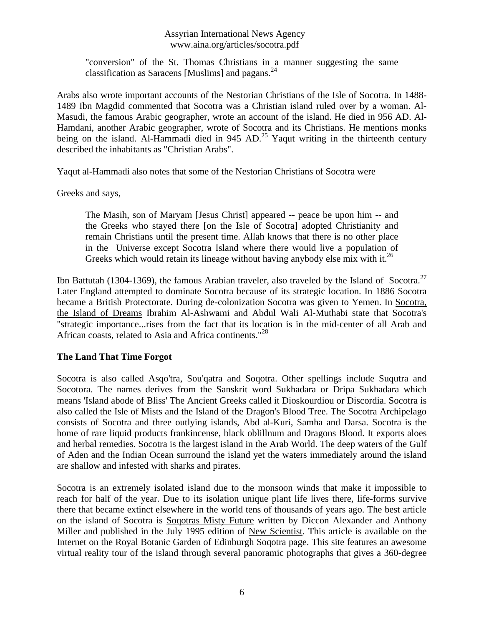"conversion" of the St. Thomas Christians in a manner suggesting the same classification as Saracens [Muslims] and pagans.  $24$ 

Arabs also wrote important accounts of the Nestorian Christians of the Isle of Socotra. In 1488- 1489 Ibn Magdid commented that Socotra was a Christian island ruled over by a woman. Al-Masudi, the famous Arabic geographer, wrote an account of the island. He died in 956 AD. Al-Hamdani, another Arabic geographer, wrote of Socotra and its Christians. He mentions monks being on the island. Al-Hammadi died in 945 AD.<sup>25</sup> Yaqut writing in the thirteenth century described the inhabitants as "Christian Arabs".

Yaqut al-Hammadi also notes that some of the Nestorian Christians of Socotra were

Greeks and says,

The Masih, son of Maryam [Jesus Christ] appeared -- peace be upon him -- and the Greeks who stayed there [on the Isle of Socotra] adopted Christianity and remain Christians until the present time. Allah knows that there is no other place in the Universe except Socotra Island where there would live a population of Greeks which would retain its lineage without having anybody else mix with it.<sup>26</sup>

Ibn Battutah (1304-1369), the famous Arabian traveler, also traveled by the Island of Socotra.<sup>27</sup> Later England attempted to dominate Socotra because of its strategic location. In 1886 Socotra became a British Protectorate. During de-colonization Socotra was given to Yemen. In Socotra, the Island of Dreams Ibrahim Al-Ashwami and Abdul Wali Al-Muthabi state that Socotra's "strategic importance...rises from the fact that its location is in the mid-center of all Arab and African coasts, related to Asia and Africa continents."<sup>28</sup>

# **The Land That Time Forgot**

Socotra is also called Asqo'tra, Sou'qatra and Soqotra. Other spellings include Suqutra and Socotora. The names derives from the Sanskrit word Sukhadara or Dripa Sukhadara which means 'Island abode of Bliss' The Ancient Greeks called it Dioskourdiou or Discordia. Socotra is also called the Isle of Mists and the Island of the Dragon's Blood Tree. The Socotra Archipelago consists of Socotra and three outlying islands, Abd al-Kuri, Samha and Darsa. Socotra is the home of rare liquid products frankincense, black oblillnum and Dragons Blood. It exports aloes and herbal remedies. Socotra is the largest island in the Arab World. The deep waters of the Gulf of Aden and the Indian Ocean surround the island yet the waters immediately around the island are shallow and infested with sharks and pirates.

Socotra is an extremely isolated island due to the monsoon winds that make it impossible to reach for half of the year. Due to its isolation unique plant life lives there, life-forms survive there that became extinct elsewhere in the world tens of thousands of years ago. The best article on the island of Socotra is Soqotras Misty Future written by Diccon Alexander and Anthony Miller and published in the July 1995 edition of New Scientist. This article is available on the Internet on the Royal Botanic Garden of Edinburgh Soqotra page. This site features an awesome virtual reality tour of the island through several panoramic photographs that gives a 360-degree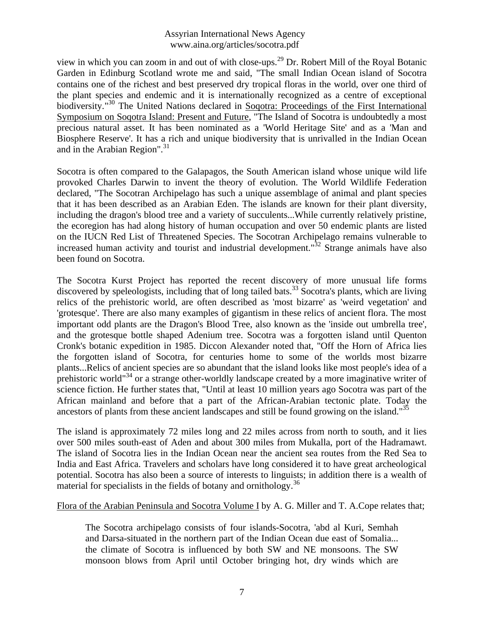view in which you can zoom in and out of with close-ups.<sup>29</sup> Dr. Robert Mill of the Royal Botanic Garden in Edinburg Scotland wrote me and said, "The small Indian Ocean island of Socotra contains one of the richest and best preserved dry tropical floras in the world, over one third of the plant species and endemic and it is internationally recognized as a centre of exceptional biodiversity."<sup>30</sup> The United Nations declared in Soqotra: Proceedings of the First International Symposium on Soqotra Island: Present and Future, "The Island of Socotra is undoubtedly a most precious natural asset. It has been nominated as a 'World Heritage Site' and as a 'Man and Biosphere Reserve'. It has a rich and unique biodiversity that is unrivalled in the Indian Ocean and in the Arabian Region". 31

Socotra is often compared to the Galapagos, the South American island whose unique wild life provoked Charles Darwin to invent the theory of evolution. The World Wildlife Federation declared, "The Socotran Archipelago has such a unique assemblage of animal and plant species that it has been described as an Arabian Eden. The islands are known for their plant diversity, including the dragon's blood tree and a variety of succulents...While currently relatively pristine, the ecoregion has had along history of human occupation and over 50 endemic plants are listed on the IUCN Red List of Threatened Species. The Socotran Archipelago remains vulnerable to increased human activity and tourist and industrial development."<sup>32</sup> Strange animals have also been found on Socotra.

The Socotra Kurst Project has reported the recent discovery of more unusual life forms discovered by speleologists, including that of long tailed bats.<sup>33</sup> Socotra's plants, which are living relics of the prehistoric world, are often described as 'most bizarre' as 'weird vegetation' and 'grotesque'. There are also many examples of gigantism in these relics of ancient flora. The most important odd plants are the Dragon's Blood Tree, also known as the 'inside out umbrella tree', and the grotesque bottle shaped Adenium tree. Socotra was a forgotten island until Quenton Cronk's botanic expedition in 1985. Diccon Alexander noted that, "Off the Horn of Africa lies the forgotten island of Socotra, for centuries home to some of the worlds most bizarre plants...Relics of ancient species are so abundant that the island looks like most people's idea of a prehistoric world"<sup>34</sup> or a strange other-worldly landscape created by a more imaginative writer of science fiction. He further states that, "Until at least 10 million years ago Socotra was part of the African mainland and before that a part of the African-Arabian tectonic plate. Today the ancestors of plants from these ancient landscapes and still be found growing on the island."<sup>35</sup>

The island is approximately 72 miles long and 22 miles across from north to south, and it lies over 500 miles south-east of Aden and about 300 miles from Mukalla, port of the Hadramawt. The island of Socotra lies in the Indian Ocean near the ancient sea routes from the Red Sea to India and East Africa. Travelers and scholars have long considered it to have great archeological potential. Socotra has also been a source of interests to linguists; in addition there is a wealth of material for specialists in the fields of botany and ornithology.<sup>36</sup>

#### Flora of the Arabian Peninsula and Socotra Volume I by A. G. Miller and T. A.Cope relates that;

The Socotra archipelago consists of four islands-Socotra, 'abd al Kuri, Semhah and Darsa-situated in the northern part of the Indian Ocean due east of Somalia... the climate of Socotra is influenced by both SW and NE monsoons. The SW monsoon blows from April until October bringing hot, dry winds which are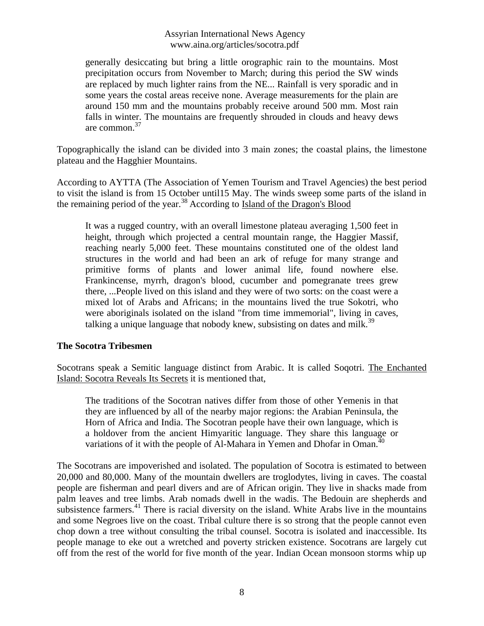generally desiccating but bring a little orographic rain to the mountains. Most precipitation occurs from November to March; during this period the SW winds are replaced by much lighter rains from the NE... Rainfall is very sporadic and in some years the costal areas receive none. Average measurements for the plain are around 150 mm and the mountains probably receive around 500 mm. Most rain falls in winter. The mountains are frequently shrouded in clouds and heavy dews are common.<sup>37</sup>

Topographically the island can be divided into 3 main zones; the coastal plains, the limestone plateau and the Hagghier Mountains.

According to AYTTA (The Association of Yemen Tourism and Travel Agencies) the best period to visit the island is from 15 October until15 May. The winds sweep some parts of the island in the remaining period of the year.<sup>38</sup> According to Island of the Dragon's Blood

It was a rugged country, with an overall limestone plateau averaging 1,500 feet in height, through which projected a central mountain range, the Haggier Massif, reaching nearly 5,000 feet. These mountains constituted one of the oldest land structures in the world and had been an ark of refuge for many strange and primitive forms of plants and lower animal life, found nowhere else. Frankincense, myrrh, dragon's blood, cucumber and pomegranate trees grew there, ...People lived on this island and they were of two sorts: on the coast were a mixed lot of Arabs and Africans; in the mountains lived the true Sokotri, who were aboriginals isolated on the island "from time immemorial", living in caves, talking a unique language that nobody knew, subsisting on dates and milk.<sup>39</sup>

#### **The Socotra Tribesmen**

Socotrans speak a Semitic language distinct from Arabic. It is called Soqotri. The Enchanted Island: Socotra Reveals Its Secrets it is mentioned that,

The traditions of the Socotran natives differ from those of other Yemenis in that they are influenced by all of the nearby major regions: the Arabian Peninsula, the Horn of Africa and India. The Socotran people have their own language, which is a holdover from the ancient Himyaritic language. They share this language or variations of it with the people of Al-Mahara in Yemen and Dhofar in Oman.<sup>40</sup>

The Socotrans are impoverished and isolated. The population of Socotra is estimated to between 20,000 and 80,000. Many of the mountain dwellers are troglodytes, living in caves. The coastal people are fisherman and pearl divers and are of African origin. They live in shacks made from palm leaves and tree limbs. Arab nomads dwell in the wadis. The Bedouin are shepherds and subsistence farmers.<sup>41</sup> There is racial diversity on the island. White Arabs live in the mountains and some Negroes live on the coast. Tribal culture there is so strong that the people cannot even chop down a tree without consulting the tribal counsel. Socotra is isolated and inaccessible. Its people manage to eke out a wretched and poverty stricken existence. Socotrans are largely cut off from the rest of the world for five month of the year. Indian Ocean monsoon storms whip up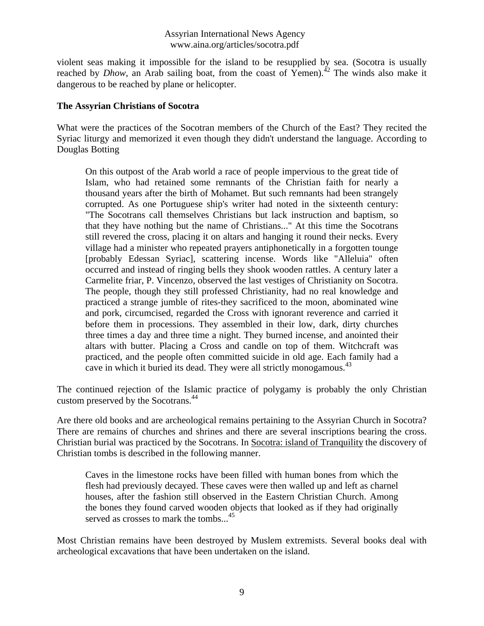violent seas making it impossible for the island to be resupplied by sea. (Socotra is usually reached by *Dhow*, an Arab sailing boat, from the coast of Yemen).<sup>42</sup> The winds also make it dangerous to be reached by plane or helicopter.

## **The Assyrian Christians of Socotra**

What were the practices of the Socotran members of the Church of the East? They recited the Syriac liturgy and memorized it even though they didn't understand the language. According to Douglas Botting

On this outpost of the Arab world a race of people impervious to the great tide of Islam, who had retained some remnants of the Christian faith for nearly a thousand years after the birth of Mohamet. But such remnants had been strangely corrupted. As one Portuguese ship's writer had noted in the sixteenth century: "The Socotrans call themselves Christians but lack instruction and baptism, so that they have nothing but the name of Christians..." At this time the Socotrans still revered the cross, placing it on altars and hanging it round their necks. Every village had a minister who repeated prayers antiphonetically in a forgotten tounge [probably Edessan Syriac], scattering incense. Words like "Alleluia" often occurred and instead of ringing bells they shook wooden rattles. A century later a Carmelite friar, P. Vincenzo, observed the last vestiges of Christianity on Socotra. The people, though they still professed Christianity, had no real knowledge and practiced a strange jumble of rites-they sacrificed to the moon, abominated wine and pork, circumcised, regarded the Cross with ignorant reverence and carried it before them in processions. They assembled in their low, dark, dirty churches three times a day and three time a night. They burned incense, and anointed their altars with butter. Placing a Cross and candle on top of them. Witchcraft was practiced, and the people often committed suicide in old age. Each family had a cave in which it buried its dead. They were all strictly monogamous.<sup>43</sup>

The continued rejection of the Islamic practice of polygamy is probably the only Christian custom preserved by the Socotrans.<sup>44</sup>

Are there old books and are archeological remains pertaining to the Assyrian Church in Socotra? There are remains of churches and shrines and there are several inscriptions bearing the cross. Christian burial was practiced by the Socotrans. In Socotra: island of Tranquility the discovery of Christian tombs is described in the following manner.

Caves in the limestone rocks have been filled with human bones from which the flesh had previously decayed. These caves were then walled up and left as charnel houses, after the fashion still observed in the Eastern Christian Church. Among the bones they found carved wooden objects that looked as if they had originally served as crosses to mark the tombs...<sup>45</sup>

Most Christian remains have been destroyed by Muslem extremists. Several books deal with archeological excavations that have been undertaken on the island.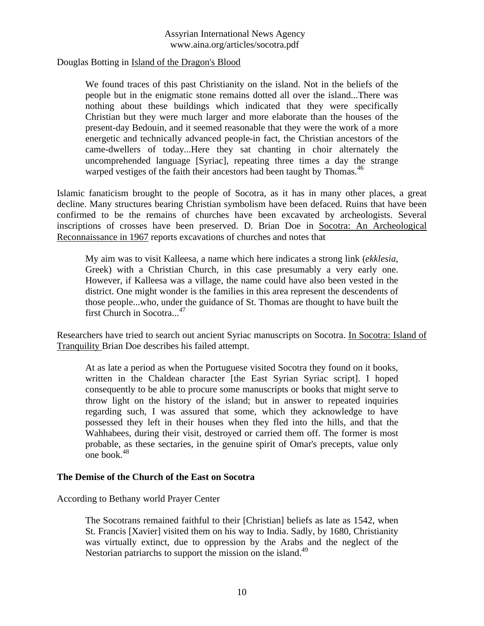Douglas Botting in Island of the Dragon's Blood

We found traces of this past Christianity on the island. Not in the beliefs of the people but in the enigmatic stone remains dotted all over the island...There was nothing about these buildings which indicated that they were specifically Christian but they were much larger and more elaborate than the houses of the present-day Bedouin, and it seemed reasonable that they were the work of a more energetic and technically advanced people-in fact, the Christian ancestors of the came-dwellers of today...Here they sat chanting in choir alternately the uncomprehended language [Syriac], repeating three times a day the strange warped vestiges of the faith their ancestors had been taught by Thomas.<sup>46</sup>

Islamic fanaticism brought to the people of Socotra, as it has in many other places, a great decline. Many structures bearing Christian symbolism have been defaced. Ruins that have been confirmed to be the remains of churches have been excavated by archeologists. Several inscriptions of crosses have been preserved. D. Brian Doe in Socotra: An Archeological Reconnaissance in 1967 reports excavations of churches and notes that

My aim was to visit Kalleesa, a name which here indicates a strong link (*ekklesia*, Greek) with a Christian Church, in this case presumably a very early one. However, if Kalleesa was a village, the name could have also been vested in the district. One might wonder is the families in this area represent the descendents of those people...who, under the guidance of St. Thomas are thought to have built the first Church in Socotra...<sup>47</sup>

Researchers have tried to search out ancient Syriac manuscripts on Socotra. In Socotra: Island of Tranquility Brian Doe describes his failed attempt.

At as late a period as when the Portuguese visited Socotra they found on it books, written in the Chaldean character [the East Syrian Syriac script]. I hoped consequently to be able to procure some manuscripts or books that might serve to throw light on the history of the island; but in answer to repeated inquiries regarding such, I was assured that some, which they acknowledge to have possessed they left in their houses when they fled into the hills, and that the Wahhabees, during their visit, destroyed or carried them off. The former is most probable, as these sectaries, in the genuine spirit of Omar's precepts, value only one book. $48$ 

#### **The Demise of the Church of the East on Socotra**

According to Bethany world Prayer Center

The Socotrans remained faithful to their [Christian] beliefs as late as 1542, when St. Francis [Xavier] visited them on his way to India. Sadly, by 1680, Christianity was virtually extinct, due to oppression by the Arabs and the neglect of the Nestorian patriarchs to support the mission on the island.<sup>49</sup>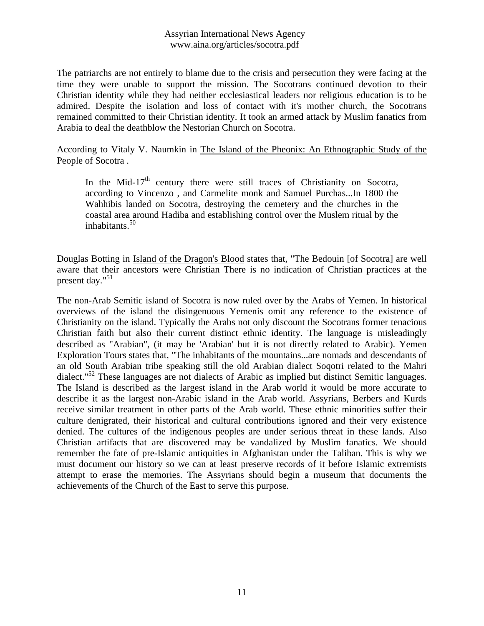The patriarchs are not entirely to blame due to the crisis and persecution they were facing at the time they were unable to support the mission. The Socotrans continued devotion to their Christian identity while they had neither ecclesiastical leaders nor religious education is to be admired. Despite the isolation and loss of contact with it's mother church, the Socotrans remained committed to their Christian identity. It took an armed attack by Muslim fanatics from Arabia to deal the deathblow the Nestorian Church on Socotra.

## According to Vitaly V. Naumkin in The Island of the Pheonix: An Ethnographic Study of the People of Socotra .

In the Mid-17<sup>th</sup> century there were still traces of Christianity on Socotra, according to Vincenzo , and Carmelite monk and Samuel Purchas...In 1800 the Wahhibis landed on Socotra, destroying the cemetery and the churches in the coastal area around Hadiba and establishing control over the Muslem ritual by the inhabitants.<sup>50</sup>

Douglas Botting in Island of the Dragon's Blood states that, "The Bedouin [of Socotra] are well aware that their ancestors were Christian There is no indication of Christian practices at the present day." 51

The non-Arab Semitic island of Socotra is now ruled over by the Arabs of Yemen. In historical overviews of the island the disingenuous Yemenis omit any reference to the existence of Christianity on the island. Typically the Arabs not only discount the Socotrans former tenacious Christian faith but also their current distinct ethnic identity. The language is misleadingly described as "Arabian", (it may be 'Arabian' but it is not directly related to Arabic). Yemen Exploration Tours states that, "The inhabitants of the mountains...are nomads and descendants of an old South Arabian tribe speaking still the old Arabian dialect Soqotri related to the Mahri dialect." <sup>52</sup> These languages are not dialects of Arabic as implied but distinct Semitic languages. The Island is described as the largest island in the Arab world it would be more accurate to describe it as the largest non-Arabic island in the Arab world. Assyrians, Berbers and Kurds receive similar treatment in other parts of the Arab world. These ethnic minorities suffer their culture denigrated, their historical and cultural contributions ignored and their very existence denied. The cultures of the indigenous peoples are under serious threat in these lands. Also Christian artifacts that are discovered may be vandalized by Muslim fanatics. We should remember the fate of pre-Islamic antiquities in Afghanistan under the Taliban. This is why we must document our history so we can at least preserve records of it before Islamic extremists attempt to erase the memories. The Assyrians should begin a museum that documents the achievements of the Church of the East to serve this purpose.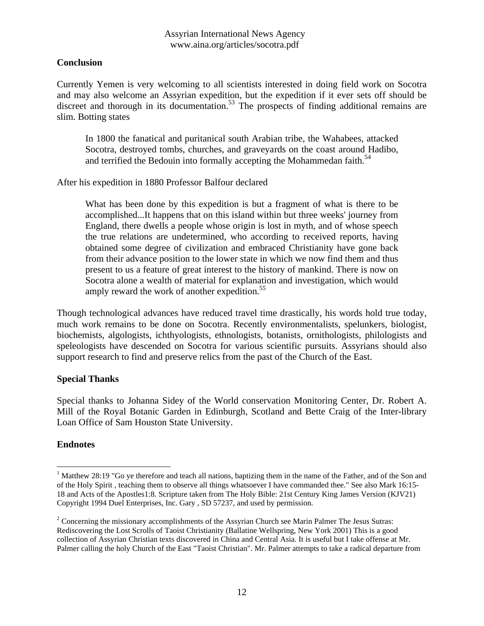## **Conclusion**

Currently Yemen is very welcoming to all scientists interested in doing field work on Socotra and may also welcome an Assyrian expedition, but the expedition if it ever sets off should be discreet and thorough in its documentation.<sup>53</sup> The prospects of finding additional remains are slim. Botting states

In 1800 the fanatical and puritanical south Arabian tribe, the Wahabees, attacked Socotra, destroyed tombs, churches, and graveyards on the coast around Hadibo, and terrified the Bedouin into formally accepting the Mohammedan faith.<sup>54</sup>

After his expedition in 1880 Professor Balfour declared

What has been done by this expedition is but a fragment of what is there to be accomplished...It happens that on this island within but three weeks' journey from England, there dwells a people whose origin is lost in myth, and of whose speech the true relations are undetermined, who according to received reports, having obtained some degree of civilization and embraced Christianity have gone back from their advance position to the lower state in which we now find them and thus present to us a feature of great interest to the history of mankind. There is now on Socotra alone a wealth of material for explanation and investigation, which would amply reward the work of another expedition.<sup>55</sup>

Though technological advances have reduced travel time drastically, his words hold true today, much work remains to be done on Socotra. Recently environmentalists, spelunkers, biologist, biochemists, algologists, ichthyologists, ethnologists, botanists, ornithologists, philologists and speleologists have descended on Socotra for various scientific pursuits. Assyrians should also support research to find and preserve relics from the past of the Church of the East.

#### **Special Thanks**

Special thanks to Johanna Sidey of the World conservation Monitoring Center, Dr. Robert A. Mill of the Royal Botanic Garden in Edinburgh, Scotland and Bette Craig of the Inter-library Loan Office of Sam Houston State University.

#### **Endnotes**

 $\overline{a}$ 

<sup>&</sup>lt;sup>1</sup> Matthew 28:19 "Go ve therefore and teach all nations, baptizing them in the name of the Father, and of the Son and of the Holy Spirit , teaching them to observe all things whatsoever I have commanded thee." See also Mark 16:15- 18 and Acts of the Apostles1:8. Scripture taken from The Holy Bible: 21st Century King James Version (KJV21) Copyright 1994 Duel Enterprises, Inc. Gary , SD 57237, and used by permission.

<sup>&</sup>lt;sup>2</sup> Concerning the missionary accomplishments of the Assyrian Church see Marin Palmer The Jesus Sutras: Rediscovering the Lost Scrolls of Taoist Christianity (Ballatine Wellspring, New York 2001) This is a good collection of Assyrian Christian texts discovered in China and Central Asia. It is useful but I take offense at Mr. Palmer calling the holy Church of the East "Taoist Christian". Mr. Palmer attempts to take a radical departure from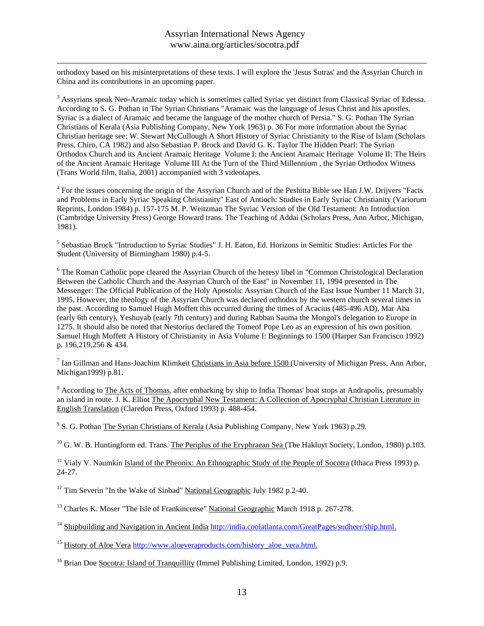$\overline{a}$ orthodoxy based on his misinterpretations of these texts. I will explore the 'Jesus Sutras' and the Assyrian Church in China and its contributions in an upcoming paper.

<sup>3</sup> Assyrians speak Neo-Aramaic today which is sometimes called Syriac yet distinct from Classical Syriac of Edessa. According to S. G. Pothan in The Syrian Christians "Aramaic was the language of Jesus Christ and his apostles. Syriac is a dialect of Aramaic and became the language of the mother church of Persia." S. G. Pothan The Syrian Christians of Kerala (Asia Publishing Company, New York 1963) p. 36 For more information about the Syriac Christian heritage see: W. Stewart McCullough A Short History of Syriac Christianity to the Rise of Islam (Scholars Press, Chiro, CA 1982) and also Sebastian P. Brock and David G. K. Taylor The Hidden Pearl: The Syrian Orthodox Church and its Ancient Aramaic Heritage Volume I: the Ancient Aramaic Heritage Volume II: The Heirs of the Ancient Aramaic Heritage Volume III At the Turn of the Third Millennium , the Syrian Orthodox Witness (Trans World film, Italia, 2001) accompanied with 3 videotapes.

<sup>4</sup> For the issues concerning the origin of the Assyrian Church and of the Peshitta Bible see Han J.W. Drijvers "Facts and Problems in Early Syriac Speaking Christianity" East of Antioch: Studies in Early Syriac Christianity (Variorum Reprints, London 1984) p. 157-175 M. P. Weitzman The Syriac Version of the Old Testament: An Introduction (Cambridge University Press) George Howard trans. The Teaching of Addai (Scholars Press, Ann Arbor, Michigan, 1981).

<sup>5</sup> Sebastian Brock "Introduction to Syriac Studies" J. H. Eaton, Ed. Horizons in Semitic Studies: Articles For the Student (University of Birmingham 1980) p.4-5.

<sup>6</sup> The Roman Catholic pope cleared the Assyrian Church of the heresy libel in "Common Christological Declaration" Between the Catholic Church and the Assyrian Church of the East" in November 11, 1994 presented in The Messenger: The Official Publication of the Holy Apostolic Assyrian Church of the East Issue Number 11 March 31, 1995. However, the theology of the Assyrian Church was declared orthodox by the western church several times in the past. According to Samuel Hugh Moffett this occurred during the times of Acacius (485-496 AD), Mar Aba (early 6th century), Yeshuyab (early 7th century) and during Rabban Sauma the Mongol's delegation to Europe in 1275. It should also be noted that Nestorius declared the Tomeof Pope Leo as an expression of his own position. Samuel Hugh Moffett A History of Christianity in Asia Volume I: Beginnings to 1500 (Harper San Francisco 1992) p. 196,219,256 & 434.

<sup>7</sup> Ian Gillman and Hans-Joachim Klimkeit Christians in Asia before  $1500$  (University of Michigan Press, Ann Arbor, Michigan1999) p.81.

<sup>8</sup> According to The Acts of Thomas, after embarking by ship to India Thomas' boat stops at Andrapolis, presumably an island in route. J. K. Elliot The Apocryphal New Testament: A Collection of Apocryphal Christian Literature in English Translation (Claredon Press, Oxford 1993) p. 488-454.

<sup>9</sup> S. G. Pothan The Syrian Christians of Kerala (Asia Publishing Company, New York 1963) p.29.

<sup>10</sup> G. W. B. Huntingform ed. Trans. The Periplus of the Eryphraean Sea (The Hakluyt Society, London, 1980) p.103.

<sup>11</sup> Vialy V. Naumkin Island of the Pheonix: An Ethnographic Study of the People of Socotra (Ithaca Press 1993) p. 24-27.

<sup>12</sup> Tim Severin "In the Wake of Sinbad" National Geographic July 1982 p.2-40.

<sup>13</sup> Charles K. Moser "The Isle of Frankincense" National Geographic March 1918 p. 267-278.

<sup>14</sup> Shipbuilding and Navigation in Ancient India http://india.coolatlanta.com/GreatPages/sudheer/ship.html.

<sup>15</sup> History of Aloe Vera http://www.aloeveraproducts.com/history\_aloe\_vera.html.

<sup>16</sup> Brian Doe Socotra: Island of Tranquillity (Immel Publishing Limited, London, 1992) p.9.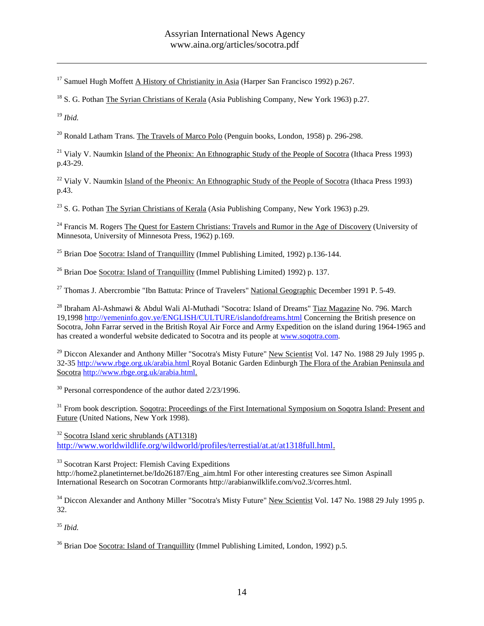<sup>17</sup> Samuel Hugh Moffett A History of Christianity in Asia (Harper San Francisco 1992) p.267.

 $^{18}$  S. G. Pothan The Syrian Christians of Kerala (Asia Publishing Company, New York 1963) p.27.

<sup>19</sup> *Ibid.*

 $\overline{a}$ 

 $^{20}$  Ronald Latham Trans. The Travels of Marco Polo (Penguin books, London, 1958) p. 296-298.

<sup>21</sup> Vialy V. Naumkin Island of the Pheonix: An Ethnographic Study of the People of Socotra (Ithaca Press 1993) p.43-29.

<sup>22</sup> Vialy V. Naumkin Island of the Pheonix: An Ethnographic Study of the People of Socotra (Ithaca Press 1993) p.43.

<sup>23</sup> S. G. Pothan The Syrian Christians of Kerala (Asia Publishing Company, New York 1963) p.29.

<sup>24</sup> Francis M. Rogers The Quest for Eastern Christians: Travels and Rumor in the Age of Discovery (University of Minnesota, University of Minnesota Press, 1962) p.169.

 $^{25}$  Brian Doe Socotra: Island of Tranquillity (Immel Publishing Limited, 1992) p.136-144.

 $26$  Brian Doe Socotra: Island of Tranquillity (Immel Publishing Limited) 1992) p. 137.

 $27$  Thomas J. Abercrombie "Ibn Battuta: Prince of Travelers" National Geographic December 1991 P. 5-49.

<sup>28</sup> Ibraham Al-Ashmawi & Abdul Wali Al-Muthadi "Socotra: Island of Dreams" Tiaz Magazine No. 796. March 19,1998 http://yemeninfo.gov.ye/ENGLISH/CULTURE/islandofdreams.html Concerning the British presence on Socotra, John Farrar served in the British Royal Air Force and Army Expedition on the island during 1964-1965 and has created a wonderful website dedicated to Socotra and its people at www.soqotra.com.

<sup>29</sup> Diccon Alexander and Anthony Miller "Socotra's Misty Future" New Scientist Vol. 147 No. 1988 29 July 1995 p. 32-35 http://www.rbge.org.uk/arabia.html Royal Botanic Garden Edinburgh The Flora of the Arabian Peninsula and Socotra http://www.rbge.org.uk/arabia.html.

 $30$  Personal correspondence of the author dated  $2/23/1996$ .

<sup>31</sup> From book description. Soqotra: Proceedings of the First International Symposium on Soqotra Island: Present and Future (United Nations, New York 1998).

 $32$  Socotra Island xeric shrublands (AT1318) http://www.worldwildlife.org/wildworld/profiles/terrestial/at.at/at1318full.html.

<sup>33</sup> Socotran Karst Project: Flemish Caving Expeditions

http://home2.planetinternet.be/Ido26187/Eng\_aim.html For other interesting creatures see Simon Aspinall International Research on Socotran Cormorants http://arabianwilklife.com/vo2.3/corres.html.

<sup>34</sup> Diccon Alexander and Anthony Miller "Socotra's Misty Future" New Scientist Vol. 147 No. 1988 29 July 1995 p. 32.

<sup>35</sup> *Ibid.*

<sup>36</sup> Brian Doe <u>Socotra: Island of Tranquillity</u> (Immel Publishing Limited, London, 1992) p.5.